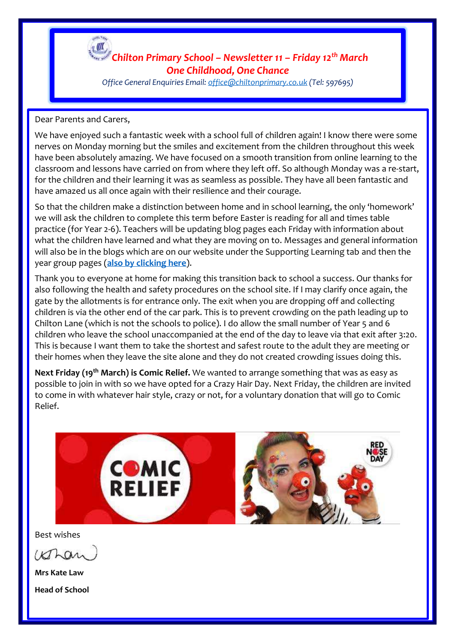

### *Chilton Primary School – Newsletter 11 – Friday 12th March One Childhood, One Chance*

*Office General Enquiries Email[: office@chiltonprimary.co.uk](mailto:office@chiltonprimary.co.uk) (Tel: 597695)*

### Dear Parents and Carers,

We have enjoyed such a fantastic week with a school full of children again! I know there were some nerves on Monday morning but the smiles and excitement from the children throughout this week have been absolutely amazing. We have focused on a smooth transition from online learning to the classroom and lessons have carried on from where they left off. So although Monday was a re-start, for the children and their learning it was as seamless as possible. They have all been fantastic and have amazed us all once again with their resilience and their courage.

So that the children make a distinction between home and in school learning, the only 'homework' we will ask the children to complete this term before Easter is reading for all and times table practice (for Year 2-6). Teachers will be updating blog pages each Friday with information about what the children have learned and what they are moving on to. Messages and general information will also be in the blogs which are on our website under the Supporting Learning tab and then the year group pages (**[also by clicking here](https://www.chiltonprimary.co.uk/page/?title=SUPPORTING+LEARNING&pid=80)**).

Thank you to everyone at home for making this transition back to school a success. Our thanks for also following the health and safety procedures on the school site. If I may clarify once again, the gate by the allotments is for entrance only. The exit when you are dropping off and collecting children is via the other end of the car park. This is to prevent crowding on the path leading up to Chilton Lane (which is not the schools to police). I do allow the small number of Year 5 and 6 children who leave the school unaccompanied at the end of the day to leave via that exit after 3:20. This is because I want them to take the shortest and safest route to the adult they are meeting or their homes when they leave the site alone and they do not created crowding issues doing this.

**Next Friday (19th March) is Comic Relief.** We wanted to arrange something that was as easy as possible to join in with so we have opted for a Crazy Hair Day. Next Friday, the children are invited to come in with whatever hair style, crazy or not, for a voluntary donation that will go to Comic Relief.



Best wishes

Whan

**Mrs Kate Law Head of School**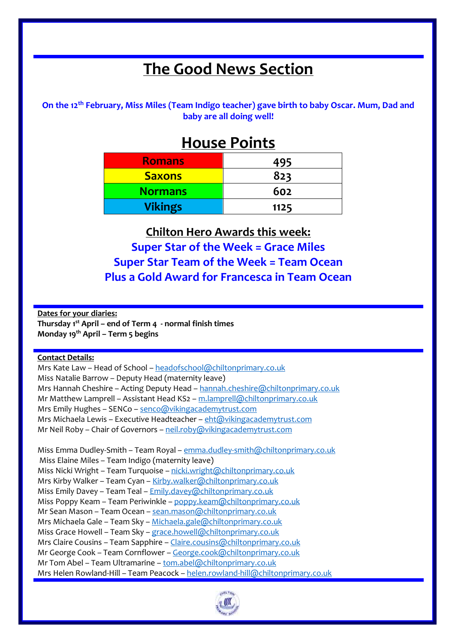# **The Good News Section**

**On the 12th February, Miss Miles (Team Indigo teacher) gave birth to baby Oscar. Mum, Dad and baby are all doing well!**

## **House Points**

| <b>Romans</b>  | 495  |
|----------------|------|
| <b>Saxons</b>  | 823  |
| <b>Normans</b> | 602  |
| <b>Vikings</b> | 1125 |

**Chilton Hero Awards this week: Super Star of the Week = Grace Miles Super Star Team of the Week = Team Ocean Plus a Gold Award for Francesca in Team Ocean**

**Dates for your diaries: Thursday 1st April – end of Term 4 - normal finish times Monday 19th April – Term 5 begins**

#### **Contact Details:**

Mrs Kate Law – Head of School – [headofschool@chiltonprimary.co.uk](mailto:headofschool@chiltonprimary.co.uk) Miss Natalie Barrow – Deputy Head (maternity leave) Mrs Hannah Cheshire – Acting Deputy Head – [hannah.cheshire@chiltonprimary.co.uk](mailto:hannah.cheshire@chiltonprimary.co.uk) Mr Matthew Lamprell – Assistant Head KS2 – [m.lamprell@chiltonprimary.co.uk](mailto:m.lamprell@chiltonprimary.co.uk) Mrs Emily Hughes – SENCo – [senco@vikingacademytrust.com](mailto:senco@vikingacademytrust.com) Mrs Michaela Lewis - Executive Headteacher - [eht@vikingacademytrust.com](mailto:eht@vikingacademytrust.com) Mr Neil Roby - Chair of Governors - [neil.roby@vikingacademytrust.com](mailto:neil.roby@vikingacademytrust.com)

Miss Emma Dudley-Smith – Team Royal – [emma.dudley-smith@chiltonprimary.co.uk](mailto:emma.dudley-smith@chiltonprimary.co.uk) Miss Elaine Miles – Team Indigo (maternity leave) Miss Nicki Wright - Team Turquoise - [nicki.wright@chiltonprimary.co.uk](mailto:nicki.wright@chiltonprimary.co.uk) Mrs Kirby Walker – Team Cyan – [Kirby.walker@chiltonprimary.co.uk](mailto:Kirby.walker@chiltonprimary.co.uk) Miss Emily Davey – Team Teal – [Emily.davey@chiltonprimary.co.uk](mailto:Emily.davey@chiltonprimary.co.uk) Miss Poppy Keam – Team Periwinkle – [poppy.keam@chiltonprimary.co.uk](mailto:poppy.keam@chiltonprimary.co.uk) Mr Sean Mason – Team Ocean – [sean.mason@chiltonprimary.co.uk](mailto:sean.mason@chiltonprimary.co.uk) Mrs Michaela Gale – Team Sky – [Michaela.gale@chiltonprimary.co.uk](mailto:Michaela.gale@chiltonprimary.co.uk) Miss Grace Howell - Team Sky - [grace.howell@chiltonprimary.co.uk](mailto:grace.howell@chiltonprimary.co.uk) Mrs Claire Cousins – Team Sapphire – [Claire.cousins@chiltonprimary.co.uk](mailto:Claire.cousins@chiltonprimary.co.uk) Mr George Cook – Team Cornflower – [George.cook@chiltonprimary.co.uk](mailto:George.cook@chiltonprimary.co.uk) Mr Tom Abel – Team Ultramarine – [tom.abel@chiltonprimary.co.uk](mailto:tom.abel@chiltonprimary.co.uk) Mrs Helen Rowland-Hill – Team Peacock – [helen.rowland-hill@chiltonprimary.co.uk](mailto:helen.rowland-hill@chiltonprimary.co.uk)